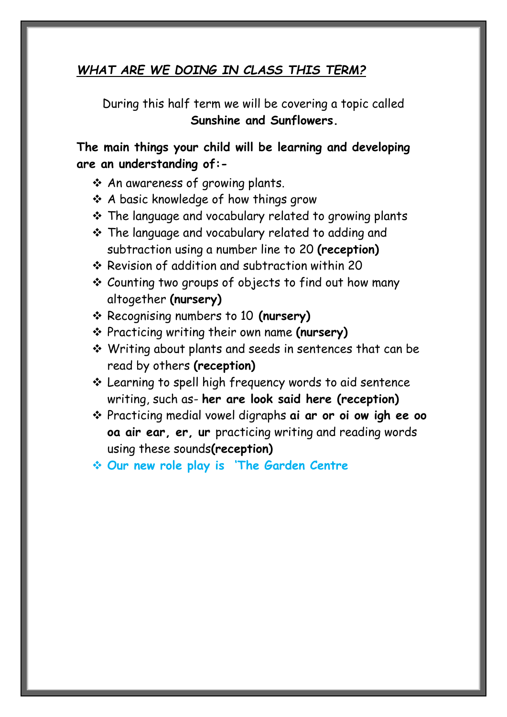### *WHAT ARE WE DOING IN CLASS THIS TERM?*

During this half term we will be covering a topic called **Sunshine and Sunflowers.**

**The main things your child will be learning and developing are an understanding of:-**

- ❖ An awareness of growing plants.
- ❖ A basic knowledge of how things grow
- ❖ The language and vocabulary related to growing plants
- ❖ The language and vocabulary related to adding and subtraction using a number line to 20 **(reception)**
- ❖ Revision of addition and subtraction within 20
- ❖ Counting two groups of objects to find out how many altogether **(nursery)**
- ❖ Recognising numbers to 10 **(nursery)**
- ❖ Practicing writing their own name **(nursery)**
- ❖ Writing about plants and seeds in sentences that can be read by others **(reception)**
- ❖ Learning to spell high frequency words to aid sentence writing, such as- **her are look said here (reception)**
- ❖ Practicing medial vowel digraphs **ai ar or oi ow igh ee oo oa air ear, er, ur** practicing writing and reading words using these sounds**(reception)**
- ❖ **Our new role play is 'The Garden Centre**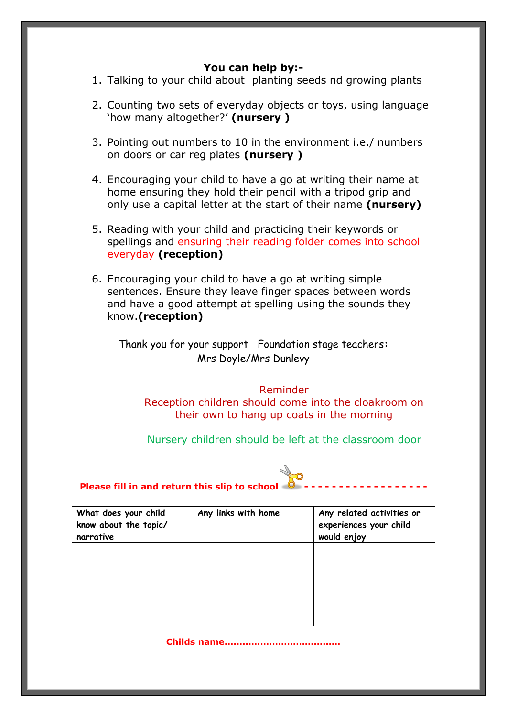#### **You can help by:-**

1. Talking to your child about planting seeds nd growing plants

- 2. Counting two sets of everyday objects or toys, using language 'how many altogether?' **(nursery )**
- 3. Pointing out numbers to 10 in the environment i.e./ numbers on doors or car reg plates **(nursery )**
- 4. Encouraging your child to have a go at writing their name at home ensuring they hold their pencil with a tripod grip and only use a capital letter at the start of their name **(nursery)**
- 5. Reading with your child and practicing their keywords or spellings and ensuring their reading folder comes into school everyday **(reception)**
- 6. Encouraging your child to have a go at writing simple sentences. Ensure they leave finger spaces between words and have a good attempt at spelling using the sounds they know.**(reception)**

Thank you for your support Foundation stage teachers**:** Mrs Doyle/Mrs Dunlevy

Reminder Reception children should come into the cloakroom on their own to hang up coats in the morning

Nursery children should be left at the classroom door



#### **Please fill in and return this slip to school - - - - - - - - - - - - - - - - - -**

| What does your child<br>know about the topic/<br>narrative | Any links with home | Any related activities or<br>experiences your child<br>would enjoy |
|------------------------------------------------------------|---------------------|--------------------------------------------------------------------|
|                                                            |                     |                                                                    |
|                                                            |                     |                                                                    |
|                                                            |                     |                                                                    |

**Childs name…………………………………**